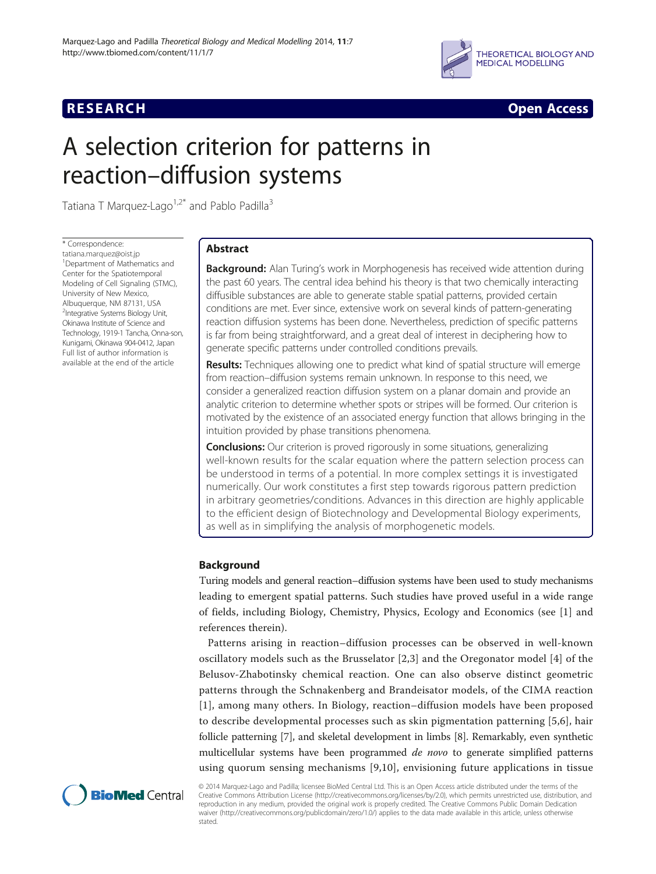



# A selection criterion for patterns in reaction–diffusion systems

Tatiana T Marquez-Lago<sup>1,2\*</sup> and Pablo Padilla<sup>3</sup>

\* Correspondence:

[tatiana.marquez@oist.jp](mailto:tatiana.marquez@oist.jp) <sup>1</sup> Department of Mathematics and Center for the Spatiotemporal Modeling of Cell Signaling (STMC), University of New Mexico, Albuquerque, NM 87131, USA <sup>2</sup>Integrative Systems Biology Unit, Okinawa Institute of Science and Technology, 1919-1 Tancha, Onna-son, Kunigami, Okinawa 904-0412, Japan Full list of author information is available at the end of the article

# Abstract

**Background:** Alan Turing's work in Morphogenesis has received wide attention during the past 60 years. The central idea behind his theory is that two chemically interacting diffusible substances are able to generate stable spatial patterns, provided certain conditions are met. Ever since, extensive work on several kinds of pattern-generating reaction diffusion systems has been done. Nevertheless, prediction of specific patterns is far from being straightforward, and a great deal of interest in deciphering how to generate specific patterns under controlled conditions prevails.

Results: Techniques allowing one to predict what kind of spatial structure will emerge from reaction–diffusion systems remain unknown. In response to this need, we consider a generalized reaction diffusion system on a planar domain and provide an analytic criterion to determine whether spots or stripes will be formed. Our criterion is motivated by the existence of an associated energy function that allows bringing in the intuition provided by phase transitions phenomena.

**Conclusions:** Our criterion is proved rigorously in some situations, generalizing well-known results for the scalar equation where the pattern selection process can be understood in terms of a potential. In more complex settings it is investigated numerically. Our work constitutes a first step towards rigorous pattern prediction in arbitrary geometries/conditions. Advances in this direction are highly applicable to the efficient design of Biotechnology and Developmental Biology experiments, as well as in simplifying the analysis of morphogenetic models.

# Background

Turing models and general reaction–diffusion systems have been used to study mechanisms leading to emergent spatial patterns. Such studies have proved useful in a wide range of fields, including Biology, Chemistry, Physics, Ecology and Economics (see [[1\]](#page-15-0) and references therein).

Patterns arising in reaction–diffusion processes can be observed in well-known oscillatory models such as the Brusselator  $[2,3]$  $[2,3]$  $[2,3]$  and the Oregonator model  $[4]$  $[4]$  of the Belusov-Zhabotinsky chemical reaction. One can also observe distinct geometric patterns through the Schnakenberg and Brandeisator models, of the CIMA reaction [[1](#page-15-0)], among many others. In Biology, reaction–diffusion models have been proposed to describe developmental processes such as skin pigmentation patterning [[5](#page-16-0),[6\]](#page-16-0), hair follicle patterning [[7\]](#page-16-0), and skeletal development in limbs [\[8](#page-16-0)]. Remarkably, even synthetic multicellular systems have been programmed de novo to generate simplified patterns using quorum sensing mechanisms [[9](#page-16-0),[10\]](#page-16-0), envisioning future applications in tissue



© 2014 Marquez-Lago and Padilla; licensee BioMed Central Ltd. This is an Open Access article distributed under the terms of the Creative Commons Attribution License (<http://creativecommons.org/licenses/by/2.0>), which permits unrestricted use, distribution, and reproduction in any medium, provided the original work is properly credited. The Creative Commons Public Domain Dedication waiver [\(http://creativecommons.org/publicdomain/zero/1.0/\)](http://creativecommons.org/publicdomain/zero/1.0/) applies to the data made available in this article, unless otherwise stated.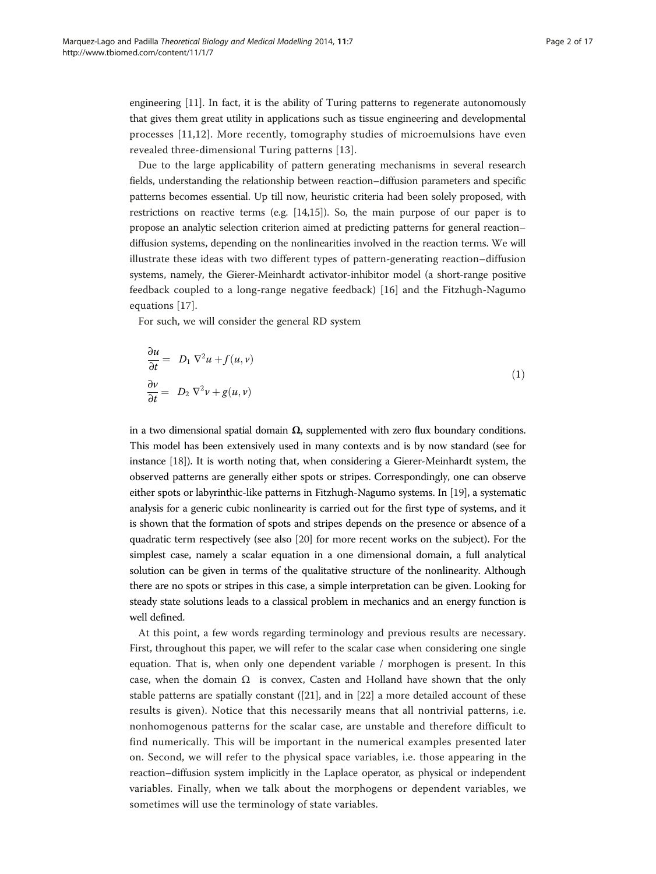<span id="page-1-0"></span>engineering [\[11\]](#page-16-0). In fact, it is the ability of Turing patterns to regenerate autonomously that gives them great utility in applications such as tissue engineering and developmental processes [[11,12\]](#page-16-0). More recently, tomography studies of microemulsions have even revealed three-dimensional Turing patterns [[13](#page-16-0)].

Due to the large applicability of pattern generating mechanisms in several research fields, understanding the relationship between reaction–diffusion parameters and specific patterns becomes essential. Up till now, heuristic criteria had been solely proposed, with restrictions on reactive terms (e.g. [\[14,15\]](#page-16-0)). So, the main purpose of our paper is to propose an analytic selection criterion aimed at predicting patterns for general reaction– diffusion systems, depending on the nonlinearities involved in the reaction terms. We will illustrate these ideas with two different types of pattern-generating reaction–diffusion systems, namely, the Gierer-Meinhardt activator-inhibitor model (a short-range positive feedback coupled to a long-range negative feedback) [[16\]](#page-16-0) and the Fitzhugh-Nagumo equations [[17\]](#page-16-0).

For such, we will consider the general RD system

$$
\frac{\partial u}{\partial t} = D_1 \nabla^2 u + f(u, v) \n\frac{\partial v}{\partial t} = D_2 \nabla^2 v + g(u, v)
$$
\n(1)

in a two dimensional spatial domain  $\Omega$ , supplemented with zero flux boundary conditions. This model has been extensively used in many contexts and is by now standard (see for instance [\[18\]](#page-16-0)). It is worth noting that, when considering a Gierer-Meinhardt system, the observed patterns are generally either spots or stripes. Correspondingly, one can observe either spots or labyrinthic-like patterns in Fitzhugh-Nagumo systems. In [[19](#page-16-0)], a systematic analysis for a generic cubic nonlinearity is carried out for the first type of systems, and it is shown that the formation of spots and stripes depends on the presence or absence of a quadratic term respectively (see also [\[20\]](#page-16-0) for more recent works on the subject). For the simplest case, namely a scalar equation in a one dimensional domain, a full analytical solution can be given in terms of the qualitative structure of the nonlinearity. Although there are no spots or stripes in this case, a simple interpretation can be given. Looking for steady state solutions leads to a classical problem in mechanics and an energy function is well defined.

At this point, a few words regarding terminology and previous results are necessary. First, throughout this paper, we will refer to the scalar case when considering one single equation. That is, when only one dependent variable / morphogen is present. In this case, when the domain  $\Omega$  is convex, Casten and Holland have shown that the only stable patterns are spatially constant  $([21]$  $([21]$  $([21]$ , and in  $[22]$  a more detailed account of these results is given). Notice that this necessarily means that all nontrivial patterns, i.e. nonhomogenous patterns for the scalar case, are unstable and therefore difficult to find numerically. This will be important in the numerical examples presented later on. Second, we will refer to the physical space variables, i.e. those appearing in the reaction–diffusion system implicitly in the Laplace operator, as physical or independent variables. Finally, when we talk about the morphogens or dependent variables, we sometimes will use the terminology of state variables.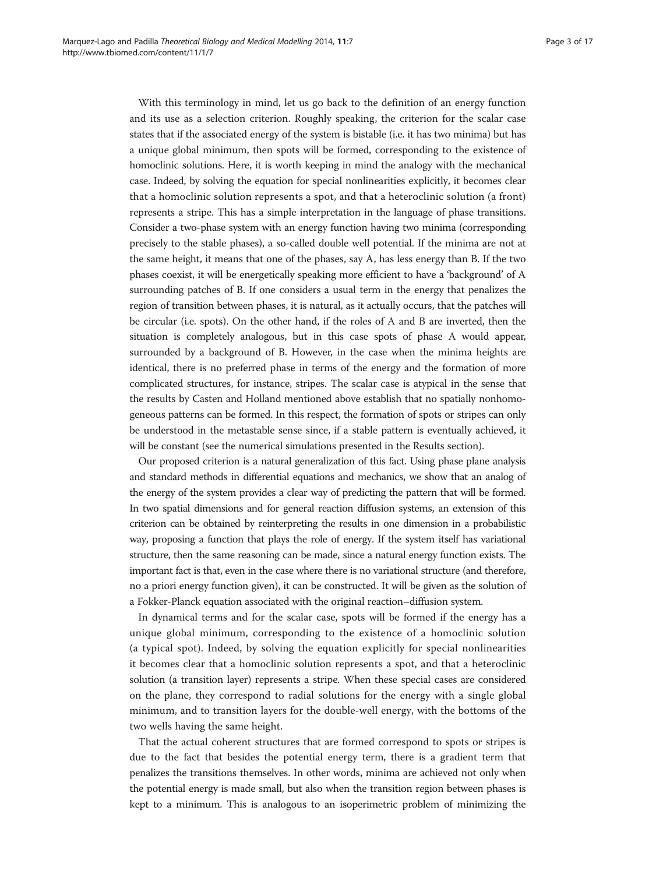With this terminology in mind, let us go back to the definition of an energy function and its use as a selection criterion. Roughly speaking, the criterion for the scalar case states that if the associated energy of the system is bistable (i.e. it has two minima) but has a unique global minimum, then spots will be formed, corresponding to the existence of homoclinic solutions. Here, it is worth keeping in mind the analogy with the mechanical case. Indeed, by solving the equation for special nonlinearities explicitly, it becomes clear that a homoclinic solution represents a spot, and that a heteroclinic solution (a front) represents a stripe. This has a simple interpretation in the language of phase transitions. Consider a two-phase system with an energy function having two minima (corresponding precisely to the stable phases), a so-called double well potential. If the minima are not at the same height, it means that one of the phases, say A, has less energy than B. If the two phases coexist, it will be energetically speaking more efficient to have a 'background' of A surrounding patches of B. If one considers a usual term in the energy that penalizes the region of transition between phases, it is natural, as it actually occurs, that the patches will be circular (i.e. spots). On the other hand, if the roles of A and B are inverted, then the situation is completely analogous, but in this case spots of phase A would appear, surrounded by a background of B. However, in the case when the minima heights are identical, there is no preferred phase in terms of the energy and the formation of more complicated structures, for instance, stripes. The scalar case is atypical in the sense that the results by Casten and Holland mentioned above establish that no spatially nonhomogeneous patterns can be formed. In this respect, the formation of spots or stripes can only be understood in the metastable sense since, if a stable pattern is eventually achieved, it will be constant (see the numerical simulations presented in the [Results](#page-5-0) section).

Our proposed criterion is a natural generalization of this fact. Using phase plane analysis and standard methods in differential equations and mechanics, we show that an analog of the energy of the system provides a clear way of predicting the pattern that will be formed. In two spatial dimensions and for general reaction diffusion systems, an extension of this criterion can be obtained by reinterpreting the results in one dimension in a probabilistic way, proposing a function that plays the role of energy. If the system itself has variational structure, then the same reasoning can be made, since a natural energy function exists. The important fact is that, even in the case where there is no variational structure (and therefore, no a priori energy function given), it can be constructed. It will be given as the solution of a Fokker-Planck equation associated with the original reaction–diffusion system.

In dynamical terms and for the scalar case, spots will be formed if the energy has a unique global minimum, corresponding to the existence of a homoclinic solution (a typical spot). Indeed, by solving the equation explicitly for special nonlinearities it becomes clear that a homoclinic solution represents a spot, and that a heteroclinic solution (a transition layer) represents a stripe. When these special cases are considered on the plane, they correspond to radial solutions for the energy with a single global minimum, and to transition layers for the double-well energy, with the bottoms of the two wells having the same height.

That the actual coherent structures that are formed correspond to spots or stripes is due to the fact that besides the potential energy term, there is a gradient term that penalizes the transitions themselves. In other words, minima are achieved not only when the potential energy is made small, but also when the transition region between phases is kept to a minimum. This is analogous to an isoperimetric problem of minimizing the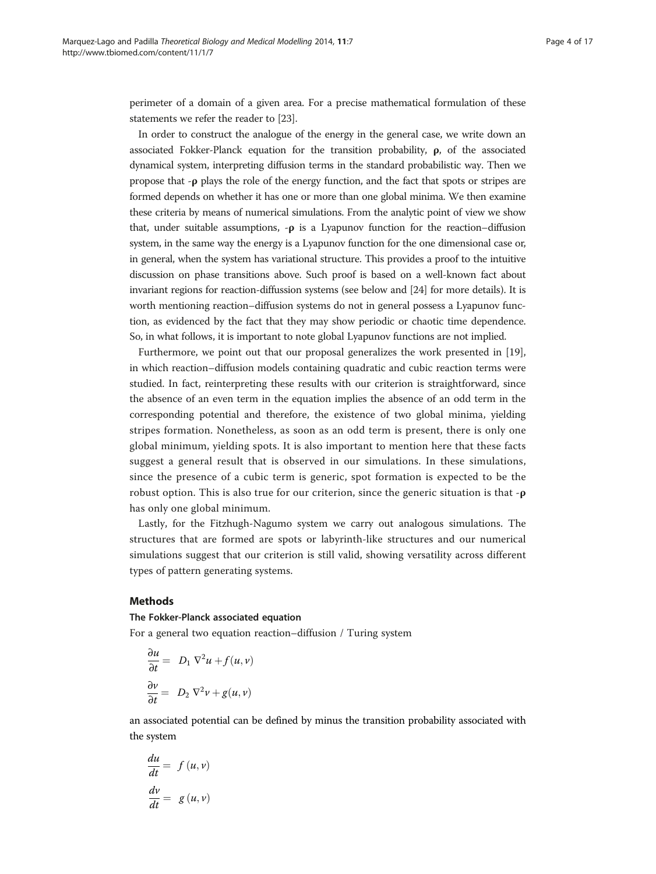<span id="page-3-0"></span>perimeter of a domain of a given area. For a precise mathematical formulation of these statements we refer the reader to [\[23\]](#page-16-0).

In order to construct the analogue of the energy in the general case, we write down an associated Fokker-Planck equation for the transition probability, ρ, of the associated dynamical system, interpreting diffusion terms in the standard probabilistic way. Then we propose that  $-\rho$  plays the role of the energy function, and the fact that spots or stripes are formed depends on whether it has one or more than one global minima. We then examine these criteria by means of numerical simulations. From the analytic point of view we show that, under suitable assumptions,  $-\rho$  is a Lyapunov function for the reaction–diffusion system, in the same way the energy is a Lyapunov function for the one dimensional case or, in general, when the system has variational structure. This provides a proof to the intuitive discussion on phase transitions above. Such proof is based on a well-known fact about invariant regions for reaction-diffussion systems (see below and [\[24\]](#page-16-0) for more details). It is worth mentioning reaction–diffusion systems do not in general possess a Lyapunov function, as evidenced by the fact that they may show periodic or chaotic time dependence. So, in what follows, it is important to note global Lyapunov functions are not implied.

Furthermore, we point out that our proposal generalizes the work presented in [[19](#page-16-0)], in which reaction–diffusion models containing quadratic and cubic reaction terms were studied. In fact, reinterpreting these results with our criterion is straightforward, since the absence of an even term in the equation implies the absence of an odd term in the corresponding potential and therefore, the existence of two global minima, yielding stripes formation. Nonetheless, as soon as an odd term is present, there is only one global minimum, yielding spots. It is also important to mention here that these facts suggest a general result that is observed in our simulations. In these simulations, since the presence of a cubic term is generic, spot formation is expected to be the robust option. This is also true for our criterion, since the generic situation is that -ρ has only one global minimum.

Lastly, for the Fitzhugh-Nagumo system we carry out analogous simulations. The structures that are formed are spots or labyrinth-like structures and our numerical simulations suggest that our criterion is still valid, showing versatility across different types of pattern generating systems.

# **Methods**

#### The Fokker-Planck associated equation

For a general two equation reaction–diffusion / Turing system

$$
\frac{\partial u}{\partial t} = D_1 \nabla^2 u + f(u, v)
$$

$$
\frac{\partial v}{\partial t} = D_2 \nabla^2 v + g(u, v)
$$

an associated potential can be defined by minus the transition probability associated with the system

$$
\frac{du}{dt} = f (u, v)
$$

$$
\frac{dv}{dt} = g (u, v)
$$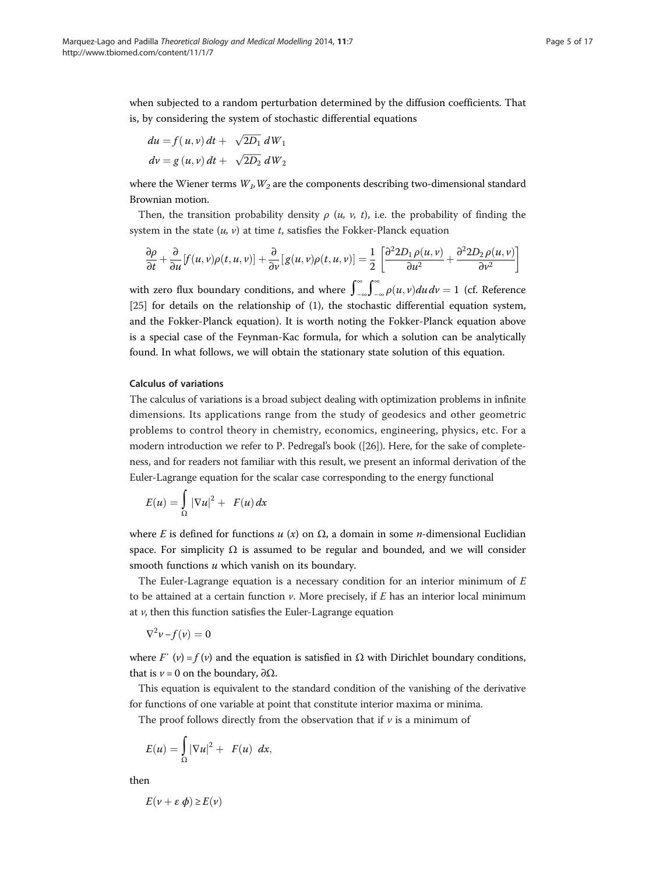<span id="page-4-0"></span>when subjected to a random perturbation determined by the diffusion coefficients. That is, by considering the system of stochastic differential equations

$$
du = f(u, v) dt + \sqrt{2D_1} dW_1
$$
  

$$
dv = g(u, v) dt + \sqrt{2D_2} dW_2
$$

where the Wiener terms  $W_1, W_2$  are the components describing two-dimensional standard Brownian motion.

Then, the transition probability density  $\rho$  (*u*, *v*, *t*), i.e. the probability of finding the system in the state  $(u, v)$  at time t, satisfies the Fokker-Planck equation

$$
\frac{\partial \rho}{\partial t} + \frac{\partial}{\partial u} [f(u, v) \rho(t, u, v)] + \frac{\partial}{\partial v} [g(u, v) \rho(t, u, v)] = \frac{1}{2} \left[ \frac{\partial^2 2D_1 \rho(u, v)}{\partial u^2} + \frac{\partial^2 2D_2 \rho(u, v)}{\partial v^2} \right]
$$

with zero flux boundary conditions, and where  $\int_{-\infty}^{\infty} \int_{-\infty}^{\infty} \rho(u, v) du dv = 1$  (cf. Reference [[25\]](#page-16-0) for details on the relationship of ([1\)](#page-1-0), the stochastic differential equation system, and the Fokker-Planck equation). It is worth noting the Fokker-Planck equation above is a special case of the Feynman-Kac formula, for which a solution can be analytically found. In what follows, we will obtain the stationary state solution of this equation.

# Calculus of variations

The calculus of variations is a broad subject dealing with optimization problems in infinite dimensions. Its applications range from the study of geodesics and other geometric problems to control theory in chemistry, economics, engineering, physics, etc. For a modern introduction we refer to P. Pedregal's book ([\[26\]](#page-16-0)). Here, for the sake of completeness, and for readers not familiar with this result, we present an informal derivation of the Euler-Lagrange equation for the scalar case corresponding to the energy functional

$$
E(u) = \int_{\Omega} |\nabla u|^2 + F(u) dx
$$

where E is defined for functions u (x) on  $\Omega$ , a domain in some *n*-dimensional Euclidian space. For simplicity  $\Omega$  is assumed to be regular and bounded, and we will consider smooth functions  $u$  which vanish on its boundary.

The Euler-Lagrange equation is a necessary condition for an interior minimum of  $E$ to be attained at a certain function  $\nu$ . More precisely, if E has an interior local minimum at  $\nu$ , then this function satisfies the Euler-Lagrange equation

$$
\nabla^2 v - f(v) = 0
$$

where  $F'(v) = f(v)$  and the equation is satisfied in  $\Omega$  with Dirichlet boundary conditions, that is  $ν = 0$  on the boundary,  $\partial Ω$ .

This equation is equivalent to the standard condition of the vanishing of the derivative for functions of one variable at point that constitute interior maxima or minima.

The proof follows directly from the observation that if  $\nu$  is a minimum of

$$
E(u) = \int_{\Omega} |\nabla u|^2 + F(u) \, dx,
$$

then

$$
E(\nu + \varepsilon \phi) \ge E(\nu)
$$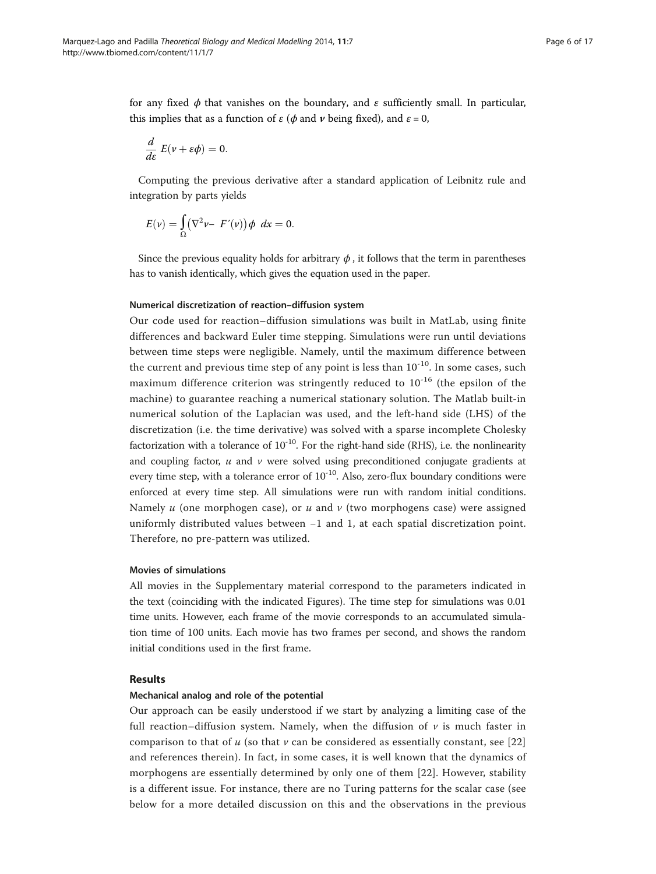<span id="page-5-0"></span>for any fixed  $\phi$  that vanishes on the boundary, and  $\varepsilon$  sufficiently small. In particular, this implies that as a function of  $\varepsilon$  ( $\phi$  and  $\nu$  being fixed), and  $\varepsilon = 0$ ,

$$
\frac{d}{d\varepsilon} E(\nu + \varepsilon \phi) = 0.
$$

Computing the previous derivative after a standard application of Leibnitz rule and integration by parts yields

$$
E(v) = \int_{\Omega} (\nabla^2 v - F'(v)) \phi \ dx = 0.
$$

Since the previous equality holds for arbitrary  $\phi$ , it follows that the term in parentheses has to vanish identically, which gives the equation used in the paper.

#### Numerical discretization of reaction–diffusion system

Our code used for reaction–diffusion simulations was built in MatLab, using finite differences and backward Euler time stepping. Simulations were run until deviations between time steps were negligible. Namely, until the maximum difference between the current and previous time step of any point is less than  $10^{-10}$ . In some cases, such maximum difference criterion was stringently reduced to  $10^{-16}$  (the epsilon of the machine) to guarantee reaching a numerical stationary solution. The Matlab built-in numerical solution of the Laplacian was used, and the left-hand side (LHS) of the discretization (i.e. the time derivative) was solved with a sparse incomplete Cholesky factorization with a tolerance of  $10^{-10}$ . For the right-hand side (RHS), i.e. the nonlinearity and coupling factor,  $u$  and  $v$  were solved using preconditioned conjugate gradients at every time step, with a tolerance error of  $10^{-10}$ . Also, zero-flux boundary conditions were enforced at every time step. All simulations were run with random initial conditions. Namely  $u$  (one morphogen case), or  $u$  and  $v$  (two morphogens case) were assigned uniformly distributed values between −1 and 1, at each spatial discretization point. Therefore, no pre-pattern was utilized.

# Movies of simulations

All movies in the Supplementary material correspond to the parameters indicated in the text (coinciding with the indicated Figures). The time step for simulations was 0.01 time units. However, each frame of the movie corresponds to an accumulated simulation time of 100 units. Each movie has two frames per second, and shows the random initial conditions used in the first frame.

### Results

# Mechanical analog and role of the potential

Our approach can be easily understood if we start by analyzing a limiting case of the full reaction–diffusion system. Namely, when the diffusion of  $\nu$  is much faster in comparison to that of u (so that v can be considered as essentially constant, see [\[22](#page-16-0)] and references therein). In fact, in some cases, it is well known that the dynamics of morphogens are essentially determined by only one of them [\[22\]](#page-16-0). However, stability is a different issue. For instance, there are no Turing patterns for the scalar case (see below for a more detailed discussion on this and the observations in the previous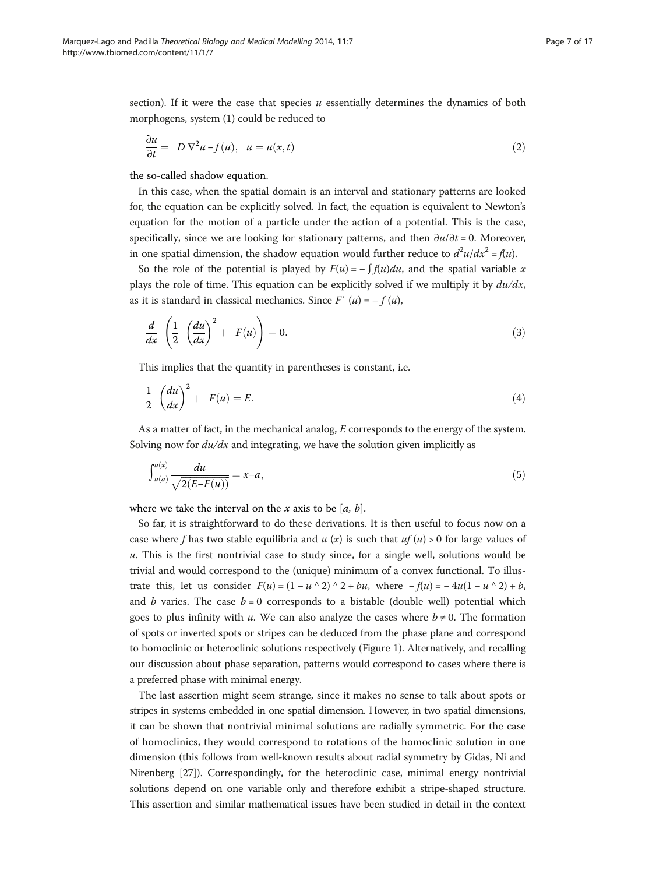section). If it were the case that species  $u$  essentially determines the dynamics of both morphogens, system [\(1](#page-1-0)) could be reduced to

$$
\frac{\partial u}{\partial t} = D \nabla^2 u - f(u), \quad u = u(x, t) \tag{2}
$$

the so-called shadow equation.

In this case, when the spatial domain is an interval and stationary patterns are looked for, the equation can be explicitly solved. In fact, the equation is equivalent to Newton's equation for the motion of a particle under the action of a potential. This is the case, specifically, since we are looking for stationary patterns, and then  $\frac{\partial u}{\partial t} = 0$ . Moreover, in one spatial dimension, the shadow equation would further reduce to  $d^2u/dx^2 = f(u)$ .

So the role of the potential is played by  $F(u) = -\int f(u)du$ , and the spatial variable x plays the role of time. This equation can be explicitly solved if we multiply it by  $du/dx$ , as it is standard in classical mechanics. Since  $F'(u) = -f(u)$ ,

$$
\frac{d}{dx}\left(\frac{1}{2}\left(\frac{du}{dx}\right)^2 + F(u)\right) = 0.\tag{3}
$$

This implies that the quantity in parentheses is constant, i.e.

$$
\frac{1}{2} \left( \frac{du}{dx} \right)^2 + F(u) = E. \tag{4}
$$

As a matter of fact, in the mechanical analog,  $E$  corresponds to the energy of the system. Solving now for  $du/dx$  and integrating, we have the solution given implicitly as

$$
\int_{u(a)}^{u(x)} \frac{du}{\sqrt{2(E - F(u))}} = x - a,\tag{5}
$$

where we take the interval on the x axis to be  $[a, b]$ .

So far, it is straightforward to do these derivations. It is then useful to focus now on a case where f has two stable equilibria and u (x) is such that  $uf(u) > 0$  for large values of  $u$ . This is the first nontrivial case to study since, for a single well, solutions would be trivial and would correspond to the (unique) minimum of a convex functional. To illustrate this, let us consider  $F(u) = (1 - u \wedge 2) \wedge 2 + bu$ , where  $-f(u) = -4u(1 - u \wedge 2) + b$ , and b varies. The case  $b = 0$  corresponds to a bistable (double well) potential which goes to plus infinity with u. We can also analyze the cases where  $b \neq 0$ . The formation of spots or inverted spots or stripes can be deduced from the phase plane and correspond to homoclinic or heteroclinic solutions respectively (Figure [1](#page-7-0)). Alternatively, and recalling our discussion about phase separation, patterns would correspond to cases where there is a preferred phase with minimal energy.

The last assertion might seem strange, since it makes no sense to talk about spots or stripes in systems embedded in one spatial dimension. However, in two spatial dimensions, it can be shown that nontrivial minimal solutions are radially symmetric. For the case of homoclinics, they would correspond to rotations of the homoclinic solution in one dimension (this follows from well-known results about radial symmetry by Gidas, Ni and Nirenberg [\[27\]](#page-16-0)). Correspondingly, for the heteroclinic case, minimal energy nontrivial solutions depend on one variable only and therefore exhibit a stripe-shaped structure. This assertion and similar mathematical issues have been studied in detail in the context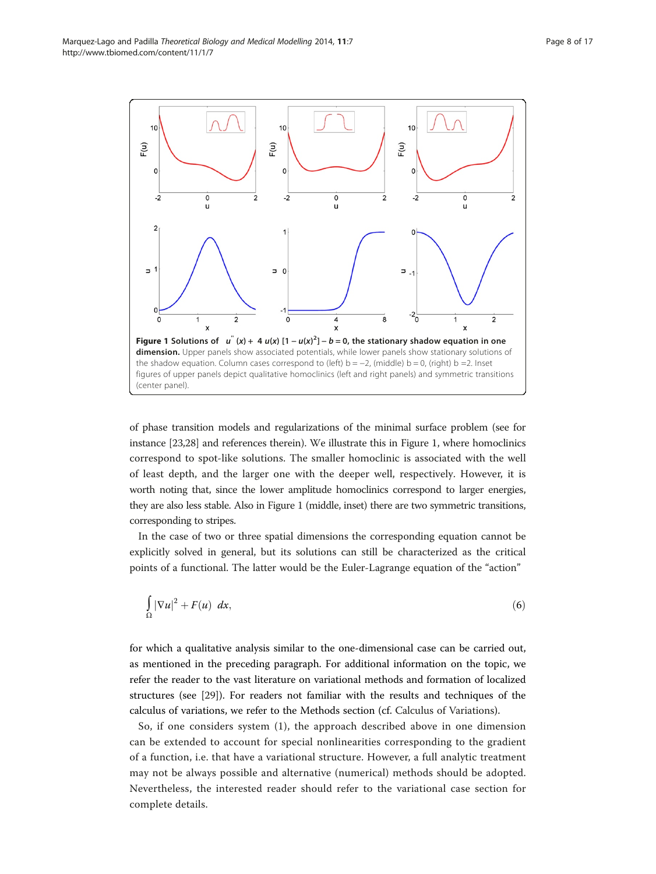<span id="page-7-0"></span>

of phase transition models and regularizations of the minimal surface problem (see for instance [\[23,28\]](#page-16-0) and references therein). We illustrate this in Figure 1, where homoclinics correspond to spot-like solutions. The smaller homoclinic is associated with the well of least depth, and the larger one with the deeper well, respectively. However, it is worth noting that, since the lower amplitude homoclinics correspond to larger energies, they are also less stable. Also in Figure 1 (middle, inset) there are two symmetric transitions, corresponding to stripes.

In the case of two or three spatial dimensions the corresponding equation cannot be explicitly solved in general, but its solutions can still be characterized as the critical points of a functional. The latter would be the Euler-Lagrange equation of the "action"

$$
\int_{\Omega} |\nabla u|^2 + F(u) \, dx,\tag{6}
$$

for which a qualitative analysis similar to the one-dimensional case can be carried out, as mentioned in the preceding paragraph. For additional information on the topic, we refer the reader to the vast literature on variational methods and formation of localized structures (see [[29\]](#page-16-0)). For readers not familiar with the results and techniques of the calculus of variations, we refer to the Methods section (cf. [Calculus of Variations\)](#page-4-0).

So, if one considers system ([1\)](#page-1-0), the approach described above in one dimension can be extended to account for special nonlinearities corresponding to the gradient of a function, i.e. that have a variational structure. However, a full analytic treatment may not be always possible and alternative (numerical) methods should be adopted. Nevertheless, the interested reader should refer to the variational case section for complete details.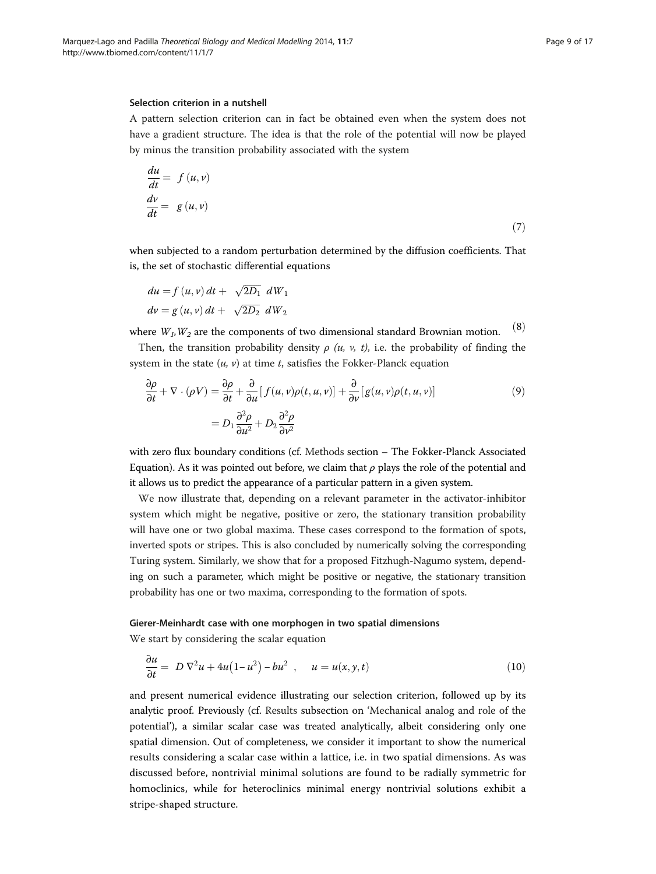# <span id="page-8-0"></span>Selection criterion in a nutshell

A pattern selection criterion can in fact be obtained even when the system does not have a gradient structure. The idea is that the role of the potential will now be played by minus the transition probability associated with the system

$$
\frac{du}{dt} = f (u, v) \n\frac{dv}{dt} = g (u, v)
$$
\n(7)

when subjected to a random perturbation determined by the diffusion coefficients. That is, the set of stochastic differential equations

$$
du = f (u, v) dt + \sqrt{2D_1} dW_1
$$
  
\n
$$
dv = g (u, v) dt + \sqrt{2D_2} dW_2
$$

where  $W_1, W_2$  are the components of two dimensional standard Brownian motion. <sup>(8)</sup>

Then, the transition probability density  $\rho$  (*u*, *v*, *t*), i.e. the probability of finding the system in the state  $(u, v)$  at time t, satisfies the Fokker-Planck equation

$$
\frac{\partial \rho}{\partial t} + \nabla \cdot (\rho V) = \frac{\partial \rho}{\partial t} + \frac{\partial}{\partial u} [f(u, v)\rho(t, u, v)] + \frac{\partial}{\partial v} [g(u, v)\rho(t, u, v)]
$$
\n
$$
= D_1 \frac{\partial^2 \rho}{\partial u^2} + D_2 \frac{\partial^2 \rho}{\partial v^2}
$$
\n(9)

with zero flux boundary conditions (cf. [Methods](#page-3-0) section – The Fokker-Planck Associated Equation). As it was pointed out before, we claim that  $\rho$  plays the role of the potential and it allows us to predict the appearance of a particular pattern in a given system.

We now illustrate that, depending on a relevant parameter in the activator-inhibitor system which might be negative, positive or zero, the stationary transition probability will have one or two global maxima. These cases correspond to the formation of spots, inverted spots or stripes. This is also concluded by numerically solving the corresponding Turing system. Similarly, we show that for a proposed Fitzhugh-Nagumo system, depending on such a parameter, which might be positive or negative, the stationary transition probability has one or two maxima, corresponding to the formation of spots.

#### Gierer-Meinhardt case with one morphogen in two spatial dimensions

We start by considering the scalar equation

$$
\frac{\partial u}{\partial t} = D \nabla^2 u + 4u(1 - u^2) - bu^2 , \quad u = u(x, y, t)
$$
 (10)

and present numerical evidence illustrating our selection criterion, followed up by its analytic proof. Previously (cf. [Results](#page-5-0) subsection on '[Mechanical analog and role of the](#page-5-0) [potential](#page-5-0)'), a similar scalar case was treated analytically, albeit considering only one spatial dimension. Out of completeness, we consider it important to show the numerical results considering a scalar case within a lattice, i.e. in two spatial dimensions. As was discussed before, nontrivial minimal solutions are found to be radially symmetric for homoclinics, while for heteroclinics minimal energy nontrivial solutions exhibit a stripe-shaped structure.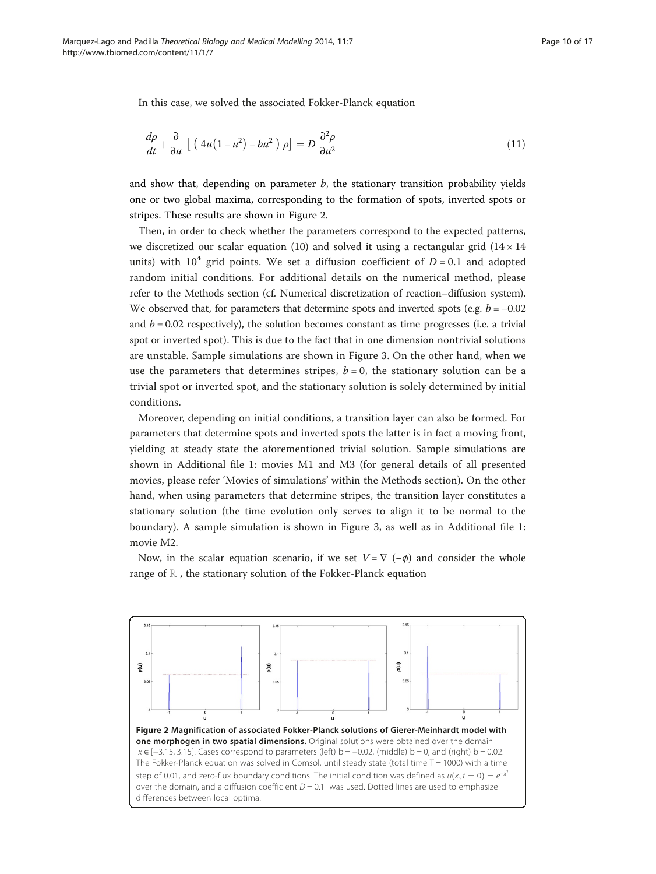In this case, we solved the associated Fokker-Planck equation

$$
\frac{d\rho}{dt} + \frac{\partial}{\partial u} \left[ \left( 4u(1 - u^2) - bu^2 \right) \rho \right] = D \frac{\partial^2 \rho}{\partial u^2}
$$
\n(11)

and show that, depending on parameter  $b$ , the stationary transition probability yields one or two global maxima, corresponding to the formation of spots, inverted spots or stripes. These results are shown in Figure 2.

Then, in order to check whether the parameters correspond to the expected patterns, we discretized our scalar equation [\(10](#page-8-0)) and solved it using a rectangular grid  $(14 \times 14)$ units) with 10<sup>4</sup> grid points. We set a diffusion coefficient of  $D = 0.1$  and adopted random initial conditions. For additional details on the numerical method, please refer to the [Methods](#page-3-0) section (cf. [Numerical discretization of reaction](#page-5-0)–diffusion system). We observed that, for parameters that determine spots and inverted spots (e.g.  $b = -0.02$ and  $b = 0.02$  respectively), the solution becomes constant as time progresses (i.e. a trivial spot or inverted spot). This is due to the fact that in one dimension nontrivial solutions are unstable. Sample simulations are shown in Figure [3](#page-10-0). On the other hand, when we use the parameters that determines stripes,  $b = 0$ , the stationary solution can be a trivial spot or inverted spot, and the stationary solution is solely determined by initial conditions.

Moreover, depending on initial conditions, a transition layer can also be formed. For parameters that determine spots and inverted spots the latter is in fact a moving front, yielding at steady state the aforementioned trivial solution. Sample simulations are shown in Additional file [1](#page-15-0): movies M1 and M3 (for general details of all presented movies, please refer 'Movies of simulations' within the [Methods](#page-3-0) section). On the other hand, when using parameters that determine stripes, the transition layer constitutes a stationary solution (the time evolution only serves to align it to be normal to the boundary). A sample simulation is shown in Figure [3](#page-10-0), as well as in Additional file [1](#page-15-0): movie M2.

Now, in the scalar equation scenario, if we set  $V = \nabla (-\phi)$  and consider the whole range of ℝ , the stationary solution of the Fokker-Planck equation

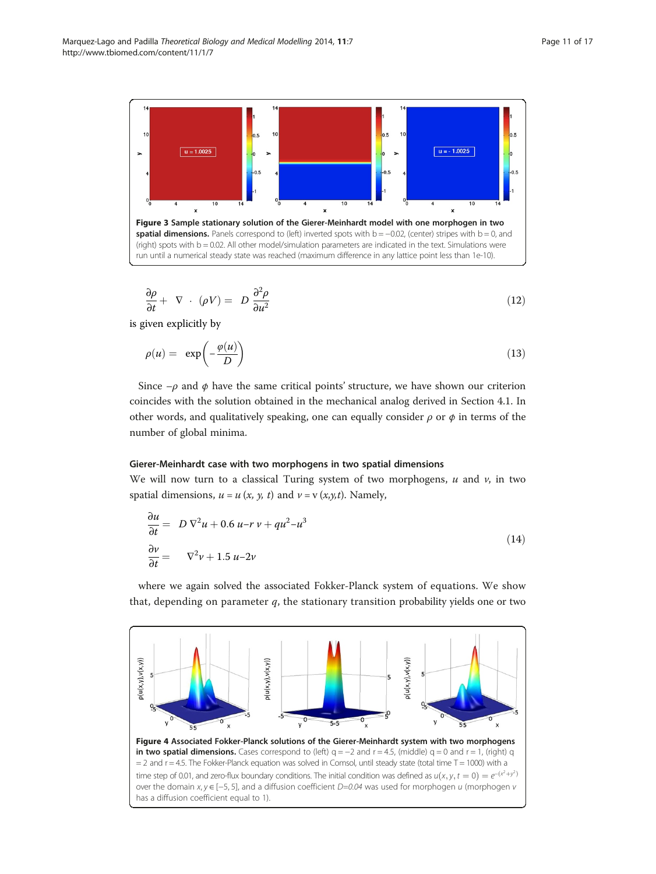<span id="page-10-0"></span>

$$
\frac{\partial \rho}{\partial t} + \nabla \cdot (\rho V) = D \frac{\partial^2 \rho}{\partial u^2}
$$
\n(12)

is given explicitly by

$$
\rho(u) = \exp\left(-\frac{\varphi(u)}{D}\right) \tag{13}
$$

Since  $-\rho$  and  $\phi$  have the same critical points' structure, we have shown our criterion coincides with the solution obtained in the mechanical analog derived in Section 4.1. In other words, and qualitatively speaking, one can equally consider  $\rho$  or  $\phi$  in terms of the number of global minima.

### Gierer-Meinhardt case with two morphogens in two spatial dimensions

We will now turn to a classical Turing system of two morphogens,  $u$  and  $v$ , in two spatial dimensions,  $u = u(x, y, t)$  and  $v = v(x,y,t)$ . Namely,

$$
\frac{\partial u}{\partial t} = D \nabla^2 u + 0.6 u - r v + q u^2 - u^3
$$
\n
$$
\frac{\partial v}{\partial t} = \nabla^2 v + 1.5 u - 2v
$$
\n(14)

where we again solved the associated Fokker-Planck system of equations. We show that, depending on parameter  $q$ , the stationary transition probability yields one or two

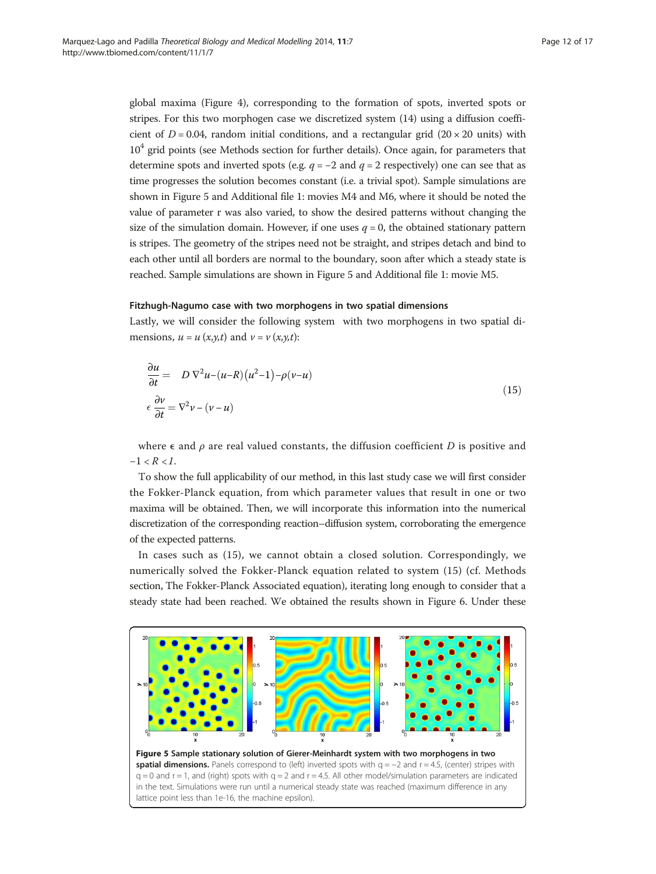<span id="page-11-0"></span>global maxima (Figure [4](#page-10-0)), corresponding to the formation of spots, inverted spots or stripes. For this two morphogen case we discretized system ([14](#page-10-0)) using a diffusion coefficient of  $D = 0.04$ , random initial conditions, and a rectangular grid (20 × 20 units) with  $10<sup>4</sup>$  grid points (see [Methods](#page-3-0) section for further details). Once again, for parameters that determine spots and inverted spots (e.g.  $q = -2$  and  $q = 2$  respectively) one can see that as time progresses the solution becomes constant (i.e. a trivial spot). Sample simulations are shown in Figure 5 and Additional file [1](#page-15-0): movies M4 and M6, where it should be noted the value of parameter r was also varied, to show the desired patterns without changing the size of the simulation domain. However, if one uses  $q = 0$ , the obtained stationary pattern is stripes. The geometry of the stripes need not be straight, and stripes detach and bind to each other until all borders are normal to the boundary, soon after which a steady state is reached. Sample simulations are shown in Figure 5 and Additional file [1](#page-15-0): movie M5.

# Fitzhugh-Nagumo case with two morphogens in two spatial dimensions

Lastly, we will consider the following system with two morphogens in two spatial dimensions,  $u = u(x,y,t)$  and  $v = v(x,y,t)$ :

$$
\frac{\partial u}{\partial t} = D \nabla^2 u - (u - R)(u^2 - 1) - \rho(v - u)
$$
\n
$$
\epsilon \frac{\partial v}{\partial t} = \nabla^2 v - (v - u)
$$
\n(15)

where  $\epsilon$  and  $\rho$  are real valued constants, the diffusion coefficient D is positive and  $-1 < R < 1$ .

To show the full applicability of our method, in this last study case we will first consider the Fokker-Planck equation, from which parameter values that result in one or two maxima will be obtained. Then, we will incorporate this information into the numerical discretization of the corresponding reaction–diffusion system, corroborating the emergence of the expected patterns.

In cases such as (15), we cannot obtain a closed solution. Correspondingly, we numerically solved the Fokker-Planck equation related to system (15) (cf. [Methods](#page-3-0) section, The Fokker-Planck Associated equation), iterating long enough to consider that a steady state had been reached. We obtained the results shown in Figure [6](#page-12-0). Under these

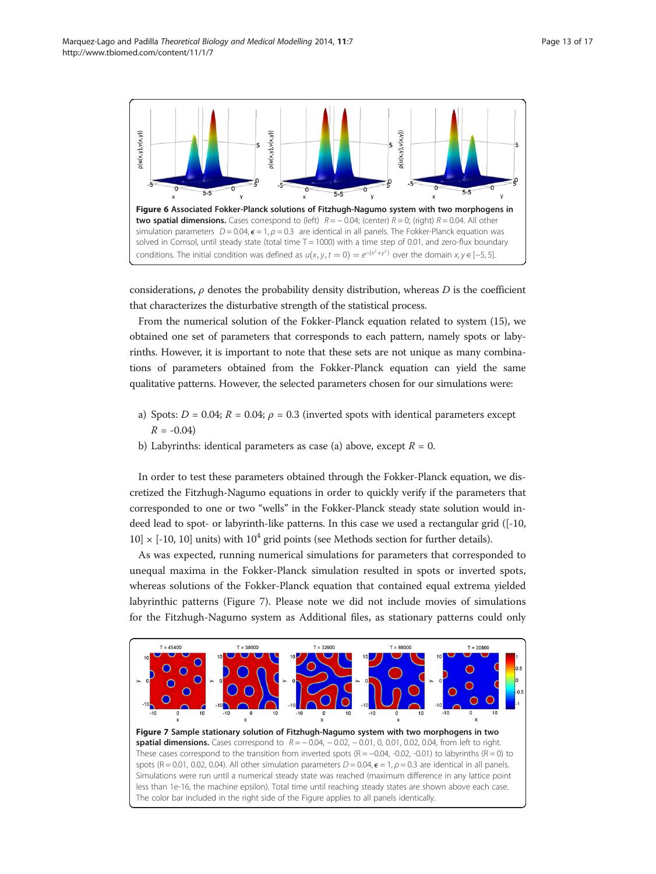<span id="page-12-0"></span>

considerations,  $\rho$  denotes the probability density distribution, whereas D is the coefficient that characterizes the disturbative strength of the statistical process.

From the numerical solution of the Fokker-Planck equation related to system [\(15\)](#page-16-0), we obtained one set of parameters that corresponds to each pattern, namely spots or labyrinths. However, it is important to note that these sets are not unique as many combinations of parameters obtained from the Fokker-Planck equation can yield the same qualitative patterns. However, the selected parameters chosen for our simulations were:

- a) Spots:  $D = 0.04$ ;  $R = 0.04$ ;  $\rho = 0.3$  (inverted spots with identical parameters except  $R = -0.04$
- b) Labyrinths: identical parameters as case (a) above, except  $R = 0$ .

In order to test these parameters obtained through the Fokker-Planck equation, we discretized the Fitzhugh-Nagumo equations in order to quickly verify if the parameters that corresponded to one or two "wells" in the Fokker-Planck steady state solution would indeed lead to spot- or labyrinth-like patterns. In this case we used a rectangular grid ([-10,  $10 \times [-10, 10]$  units) with  $10^4$  grid points (see [Methods](#page-3-0) section for further details).

As was expected, running numerical simulations for parameters that corresponded to unequal maxima in the Fokker-Planck simulation resulted in spots or inverted spots, whereas solutions of the Fokker-Planck equation that contained equal extrema yielded labyrinthic patterns (Figure 7). Please note we did not include movies of simulations for the Fitzhugh-Nagumo system as Additional files, as stationary patterns could only

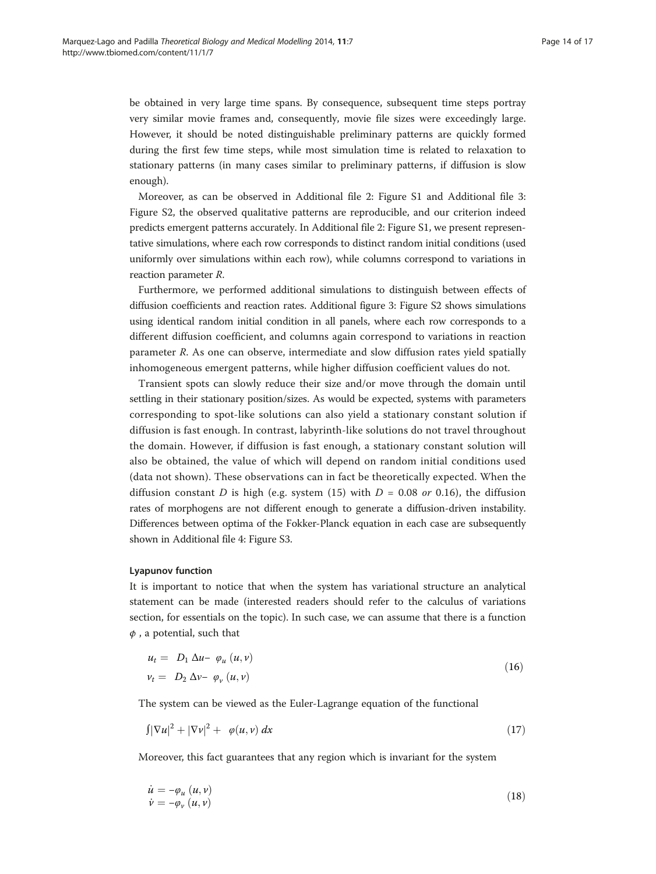be obtained in very large time spans. By consequence, subsequent time steps portray very similar movie frames and, consequently, movie file sizes were exceedingly large. However, it should be noted distinguishable preliminary patterns are quickly formed during the first few time steps, while most simulation time is related to relaxation to stationary patterns (in many cases similar to preliminary patterns, if diffusion is slow enough).

Moreover, as can be observed in Additional file [2](#page-15-0): Figure S1 and Additional file [3](#page-15-0): Figure S2, the observed qualitative patterns are reproducible, and our criterion indeed predicts emergent patterns accurately. In Additional file [2](#page-15-0): Figure S1, we present representative simulations, where each row corresponds to distinct random initial conditions (used uniformly over simulations within each row), while columns correspond to variations in reaction parameter R.

Furthermore, we performed additional simulations to distinguish between effects of diffusion coefficients and reaction rates. Additional figure [3:](#page-15-0) Figure S2 shows simulations using identical random initial condition in all panels, where each row corresponds to a different diffusion coefficient, and columns again correspond to variations in reaction parameter R. As one can observe, intermediate and slow diffusion rates yield spatially inhomogeneous emergent patterns, while higher diffusion coefficient values do not.

Transient spots can slowly reduce their size and/or move through the domain until settling in their stationary position/sizes. As would be expected, systems with parameters corresponding to spot-like solutions can also yield a stationary constant solution if diffusion is fast enough. In contrast, labyrinth-like solutions do not travel throughout the domain. However, if diffusion is fast enough, a stationary constant solution will also be obtained, the value of which will depend on random initial conditions used (data not shown). These observations can in fact be theoretically expected. When the diffusion constant D is high (e.g. system ([15](#page-11-0)) with  $D = 0.08$  or 0.16), the diffusion rates of morphogens are not different enough to generate a diffusion-driven instability. Differences between optima of the Fokker-Planck equation in each case are subsequently shown in Additional file [4](#page-15-0): Figure S3.

#### Lyapunov function

It is important to notice that when the system has variational structure an analytical statement can be made (interested readers should refer to the calculus of variations section, for essentials on the topic). In such case, we can assume that there is a function  $\phi$ , a potential, such that

$$
u_t = D_1 \Delta u - \varphi_u (u, v)
$$
  
\n
$$
v_t = D_2 \Delta v - \varphi_v (u, v)
$$
\n(16)

The system can be viewed as the Euler-Lagrange equation of the functional

$$
\int |\nabla u|^2 + |\nabla v|^2 + \varphi(u, v) dx \tag{17}
$$

Moreover, this fact guarantees that any region which is invariant for the system

$$
\begin{aligned}\n\dot{u} &= -\varphi_u \left( u, v \right) \\
\dot{v} &= -\varphi_v \left( u, v \right)\n\end{aligned} \tag{18}
$$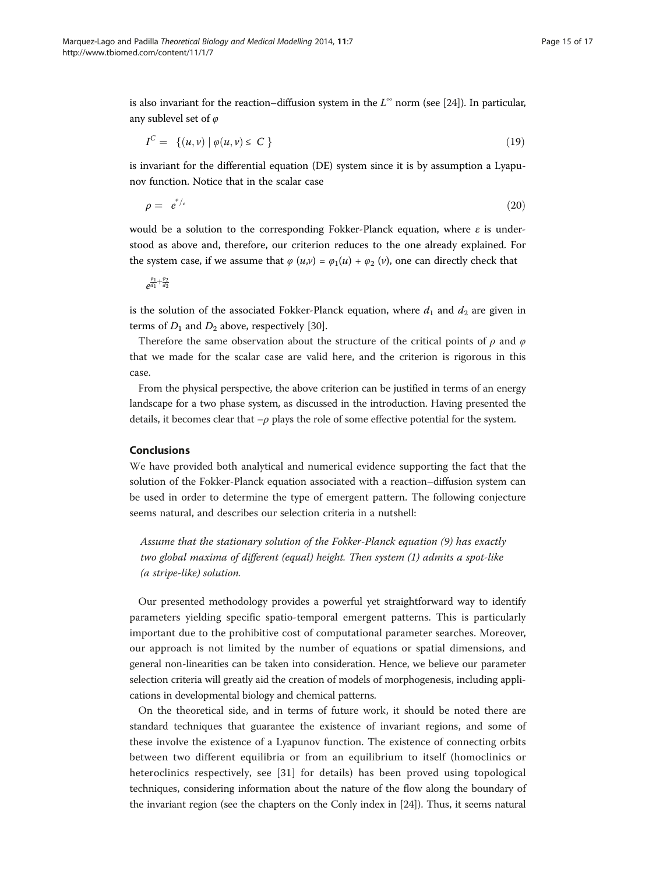is also invariant for the reaction–diffusion system in the  $L^{\infty}$  norm (see [[24](#page-16-0)]). In particular, any sublevel set of  $\varphi$ 

$$
I^C = \{(u, v) \mid \varphi(u, v) \le C \}
$$
\n
$$
(19)
$$

is invariant for the differential equation (DE) system since it is by assumption a Lyapunov function. Notice that in the scalar case

$$
\rho = e^{\varphi/\varepsilon} \tag{20}
$$

would be a solution to the corresponding Fokker-Planck equation, where  $\varepsilon$  is understood as above and, therefore, our criterion reduces to the one already explained. For the system case, if we assume that  $\varphi$  (u,v) =  $\varphi_1(u) + \varphi_2(v)$ , one can directly check that

$$
e^{\frac{\varphi_1}{d_1}+\frac{\varphi_2}{d_2}}
$$

is the solution of the associated Fokker-Planck equation, where  $d_1$  and  $d_2$  are given in terms of  $D_1$  and  $D_2$  above, respectively [\[30](#page-16-0)].

Therefore the same observation about the structure of the critical points of  $\rho$  and  $\varphi$ that we made for the scalar case are valid here, and the criterion is rigorous in this case.

From the physical perspective, the above criterion can be justified in terms of an energy landscape for a two phase system, as discussed in the introduction. Having presented the details, it becomes clear that  $-\rho$  plays the role of some effective potential for the system.

# Conclusions

We have provided both analytical and numerical evidence supporting the fact that the solution of the Fokker-Planck equation associated with a reaction–diffusion system can be used in order to determine the type of emergent pattern. The following conjecture seems natural, and describes our selection criteria in a nutshell:

Assume that the stationary solution of the Fokker-Planck equation [\(9](#page-8-0)) has exactly two global maxima of different (equal) height. Then system [\(1](#page-1-0)) admits a spot-like (a stripe-like) solution.

Our presented methodology provides a powerful yet straightforward way to identify parameters yielding specific spatio-temporal emergent patterns. This is particularly important due to the prohibitive cost of computational parameter searches. Moreover, our approach is not limited by the number of equations or spatial dimensions, and general non-linearities can be taken into consideration. Hence, we believe our parameter selection criteria will greatly aid the creation of models of morphogenesis, including applications in developmental biology and chemical patterns.

On the theoretical side, and in terms of future work, it should be noted there are standard techniques that guarantee the existence of invariant regions, and some of these involve the existence of a Lyapunov function. The existence of connecting orbits between two different equilibria or from an equilibrium to itself (homoclinics or heteroclinics respectively, see [[31](#page-16-0)] for details) has been proved using topological techniques, considering information about the nature of the flow along the boundary of the invariant region (see the chapters on the Conly index in [\[24](#page-16-0)]). Thus, it seems natural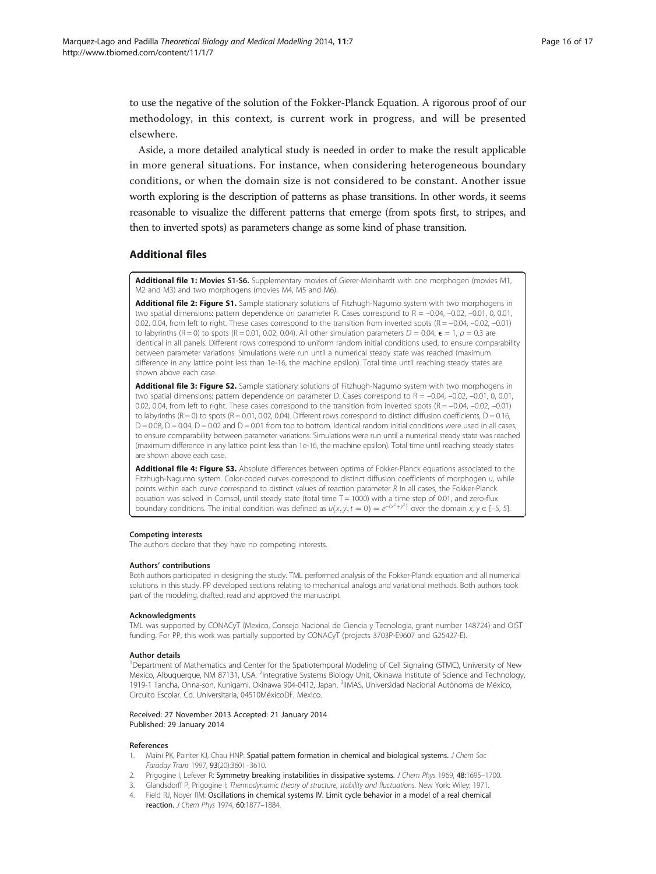<span id="page-15-0"></span>to use the negative of the solution of the Fokker-Planck Equation. A rigorous proof of our methodology, in this context, is current work in progress, and will be presented elsewhere.

Aside, a more detailed analytical study is needed in order to make the result applicable in more general situations. For instance, when considering heterogeneous boundary conditions, or when the domain size is not considered to be constant. Another issue worth exploring is the description of patterns as phase transitions. In other words, it seems reasonable to visualize the different patterns that emerge (from spots first, to stripes, and then to inverted spots) as parameters change as some kind of phase transition.

# Additional files

[Additional file 1:](http://www.biomedcentral.com/content/supplementary/1742-4682-11-7-S1.zip) Movies S1-S6. Supplementary movies of Gierer-Meinhardt with one morphogen (movies M1, M2 and M3) and two morphogens (movies M4, M5 and M6).

[Additional file 2: Figure S1.](http://www.biomedcentral.com/content/supplementary/1742-4682-11-7-S2.pdf) Sample stationary solutions of Fitzhugh-Nagumo system with two morphogens in two spatial dimensions: pattern dependence on parameter R. Cases correspond to R = -0.04, -0.02, -0.01, 0, 0.01, 0.02, 0.04, from left to right. These cases correspond to the transition from inverted spots (R = −0.04, –0.02, –0.01) to labyrinths (R = 0) to spots (R = 0.01, 0.02, 0.04). All other simulation parameters  $D = 0.04$ ,  $\epsilon = 1$ ,  $\rho = 0.3$  are identical in all panels. Different rows correspond to uniform random initial conditions used, to ensure comparability between parameter variations. Simulations were run until a numerical steady state was reached (maximum difference in any lattice point less than 1e-16, the machine epsilon). Total time until reaching steady states are shown above each case.

[Additional file 3: Figure S2.](http://www.biomedcentral.com/content/supplementary/1742-4682-11-7-S3.pdf) Sample stationary solutions of Fitzhugh-Nagumo system with two morphogens in two spatial dimensions: pattern dependence on parameter D. Cases correspond to R = -0.04, -0.02, -0.01, 0, 0.01, 0.02, 0.04, from left to right. These cases correspond to the transition from inverted spots (R = −0.04, –0.02, –0.01) to labyrinths  $(R = 0)$  to spots  $(R = 0.01, 0.02, 0.04)$ . Different rows correspond to distinct diffusion coefficients, D = 0.16,  $D = 0.08$ ,  $D = 0.04$ ,  $D = 0.02$  and  $D = 0.01$  from top to bottom. Identical random initial conditions were used in all cases, to ensure comparability between parameter variations. Simulations were run until a numerical steady state was reached (maximum difference in any lattice point less than 1e-16, the machine epsilon). Total time until reaching steady states are shown above each case.

[Additional file 4: Figure S3.](http://www.biomedcentral.com/content/supplementary/1742-4682-11-7-S4.pdf) Absolute differences between optima of Fokker-Planck equations associated to the Fitzhugh-Nagumo system. Color-coded curves correspond to distinct diffusion coefficients of morphogen u, while points within each curve correspond to distinct values of reaction parameter R In all cases, the Fokker-Planck equation was solved in Comsol, until steady state (total time  $T = 1000$ ) with a time step of 0.01, and zero-flux boundary conditions. The initial condition was defined as  $u(x, y, t = 0) = e^{-(x^2+y^2)}$  over the domain  $x, y \in [-5, 5]$ .

#### Competing interests

The authors declare that they have no competing interests.

#### Authors' contributions

Both authors participated in designing the study. TML performed analysis of the Fokker-Planck equation and all numerical solutions in this study. PP developed sections relating to mechanical analogs and variational methods. Both authors took part of the modeling, drafted, read and approved the manuscript.

#### Acknowledgments

TML was supported by CONACyT (Mexico, Consejo Nacional de Ciencia y Tecnologia, grant number 148724) and OIST funding. For PP, this work was partially supported by CONACyT (projects 3703P-E9607 and G25427-E).

#### Author details

<sup>1</sup>Department of Mathematics and Center for the Spatiotemporal Modeling of Cell Signaling (STMC), University of New Mexico, Albuquerque, NM 87131, USA. <sup>2</sup>Integrative Systems Biology Unit, Okinawa Institute of Science and Technology 1919-1 Tancha, Onna-son, Kunigami, Okinawa 904-0412, Japan. <sup>3</sup>IIMAS, Universidad Nacional Autónoma de México, Circuito Escolar. Cd. Universitaria, 04510MéxicoDF, Mexico.

#### Received: 27 November 2013 Accepted: 21 January 2014 Published: 29 January 2014

#### References

- 1. Maini PK, Painter KJ, Chau HNP: Spatial pattern formation in chemical and biological systems. J Chem Soc Faraday Trans 1997, 93(20):3601–3610.
- Prigogine I, Lefever R: Symmetry breaking instabilities in dissipative systems. J Chem Phys 1969, 48:1695-1700.
- Glandsdorff P, Prigogine I: Thermodynamic theory of structure, stability and fluctuations. New York: Wiley; 1971.
- 4. Field RJ, Noyer RM: Oscillations in chemical systems IV. Limit cycle behavior in a model of a real chemical reaction. J Chem Phys 1974, 60:1877–1884.